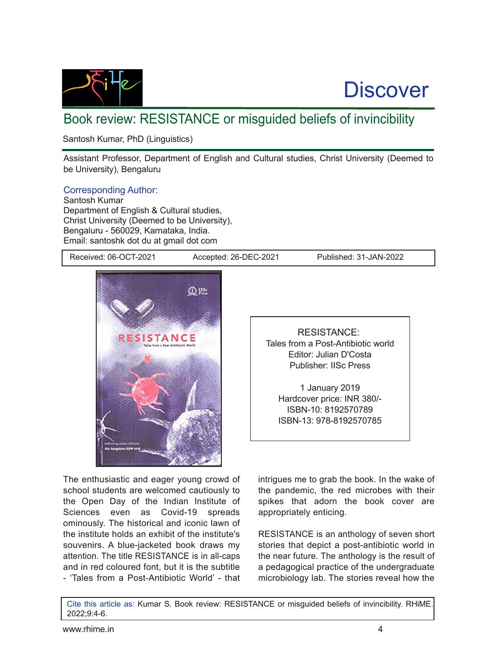

## **Discover**

## Book review: RESISTANCE or misguided beliefs of invincibility

Santosh Kumar, PhD (Linguistics)

Assistant Professor, Department of English and Cultural studies, Christ University (Deemed to be University), Bengaluru

## Corresponding Author:

Santosh Kumar Department of English & Cultural studies, Christ University (Deemed to be University), Bengaluru - 560029, Karnataka, India. Email: santoshk dot du at gmail dot com

Received: 06-OCT-2021 Accepted: 26-DEC-2021 Published: 31-JAN-2022



The enthusiastic and eager young crowd of school students are welcomed cautiously to the Open Day of the Indian Institute of Sciences even as Covid-19 spreads ominously. The historical and iconic lawn of the institute holds an exhibit of the institute's souvenirs. A blue-jacketed book draws my attention. The title RESISTANCE is in all-caps and in red coloured font, but it is the subtitle - 'Tales from a Post-Antibiotic World' - that

RESISTANCE: Tales from a Post-Antibiotic world Editor: Julian D'Costa Publisher: IISc Press

1 January 2019 Hardcover price: INR 380/ ISBN10: 8192570789 ISBN-13: 978-8192570785

intrigues me to grab the book. In the wake of the pandemic, the red microbes with their spikes that adorn the book cover are appropriately enticing.

RESISTANCE is an anthology of seven short stories that depict a post-antibiotic world in the near future. The anthology is the result of a pedagogical practice of the undergraduate microbiology lab. The stories reveal how the

Cite this article as: Kumar S. Book review: RESISTANCE or misguided beliefs of invincibility. RHiME. 2022;9:4-6.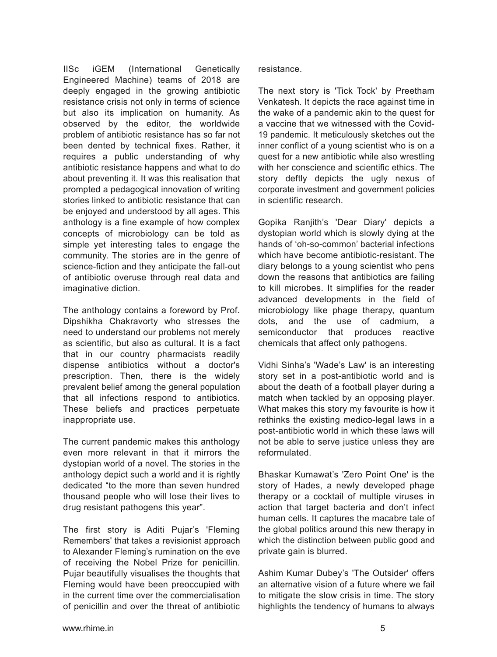IISc iGEM (International Genetically Engineered Machine) teams of 2018 are deeply engaged in the growing antibiotic resistance crisis not only in terms of science but also its implication on humanity. As observed by the editor, the worldwide problem of antibiotic resistance has so far not been dented by technical fixes. Rather, it requires a public understanding of why antibiotic resistance happens and what to do about preventing it. It was this realisation that prompted a pedagogical innovation of writing stories linked to antibiotic resistance that can be enjoyed and understood by all ages. This anthology is a fine example of how complex concepts of microbiology can be told as simple yet interesting tales to engage the community. The stories are in the genre of science-fiction and they anticipate the fall-out of antibiotic overuse through real data and imaginative diction.

The anthology contains a foreword by Prof. Dipshikha Chakravorty who stresses the need to understand our problems not merely as scientific, but also as cultural. It is a fact that in our country pharmacists readily dispense antibiotics without a doctor's prescription. Then, there is the widely prevalent belief among the general population that all infections respond to antibiotics. These beliefs and practices perpetuate inappropriate use.

The current pandemic makes this anthology even more relevant in that it mirrors the dystopian world of a novel. The stories in the anthology depict such a world and it is rightly dedicated "to the more than seven hundred thousand people who will lose their lives to drug resistant pathogens this year".

The first story is Aditi Pujar's 'Fleming Remembers' that takes a revisionist approach to Alexander Fleming's rumination on the eve of receiving the Nobel Prize for penicillin. Pujar beautifully visualises the thoughts that Fleming would have been preoccupied with in the current time over the commercialisation of penicillin and over the threat of antibiotic

resistance.

The next story is 'Tick Tock' by Preetham Venkatesh. It depicts the race against time in the wake of a pandemic akin to the quest for a vaccine that we witnessed with the Covid-19 pandemic. It meticulously sketches out the inner conflict of a young scientist who is on a quest for a new antibiotic while also wrestling with her conscience and scientific ethics. The story deftly depicts the ugly nexus of corporate investment and government policies in scientific research.

Gopika Ranjith's 'Dear Diary' depicts a dystopian world which is slowly dying at the hands of 'oh-so-common' bacterial infections which have become antibiotic-resistant. The diary belongs to a young scientist who pens down the reasons that antibiotics are failing to kill microbes. It simplifies for the reader advanced developments in the field of microbiology like phage therapy, quantum dots, and the use of cadmium, a semiconductor that produces reactive chemicals that affect only pathogens.

Vidhi Sinha's 'Wade's Law' is an interesting story set in a post-antibiotic world and is about the death of a football player during a match when tackled by an opposing player. What makes this story my favourite is how it rethinks the existing medico-legal laws in a post-antibiotic world in which these laws will not be able to serve justice unless they are reformulated.

Bhaskar Kumawat's 'Zero Point One' is the story of Hades, a newly developed phage therapy or a cocktail of multiple viruses in action that target bacteria and don't infect human cells. It captures the macabre tale of the global politics around this new therapy in which the distinction between public good and private gain is blurred.

Ashim Kumar Dubey's 'The Outsider' offers an alternative vision of a future where we fail to mitigate the slow crisis in time. The story highlights the tendency of humans to always